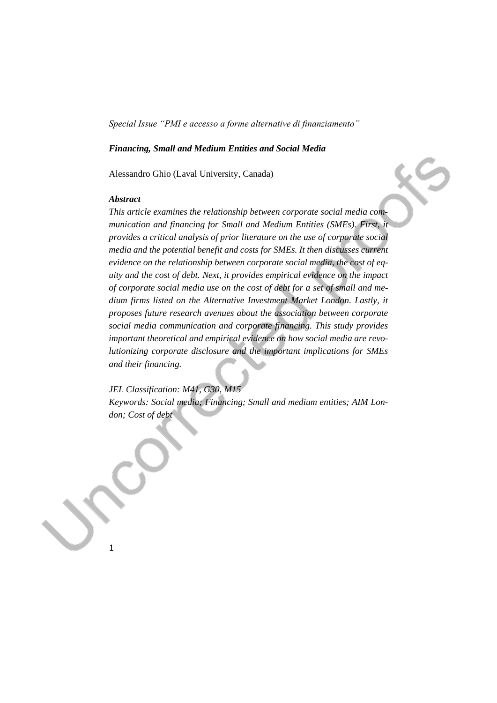### *Financing, Small and Medium Entities and Social Media*

Alessandro Ghio (Laval University, Canada)

### *Abstract*

*This article examines the relationship between corporate social media communication and financing for Small and Medium Entities (SMEs). First, it provides a critical analysis of prior literature on the use of corporate social media and the potential benefit and costs for SMEs. It then discusses current evidence on the relationship between corporate social media, the cost of equity and the cost of debt. Next, it provides empirical evidence on the impact of corporate social media use on the cost of debt for a set of small and medium firms listed on the Alternative Investment Market London. Lastly, it proposes future research avenues about the association between corporate social media communication and corporate financing. This study provides important theoretical and empirical evidence on how social media are revolutionizing corporate disclosure and the important implications for SMEs and their financing.*

# *JEL Classification: M41, G30, M15*

*Keywords: Social media; Financing; Small and medium entities; AIM London; Cost of debt*

1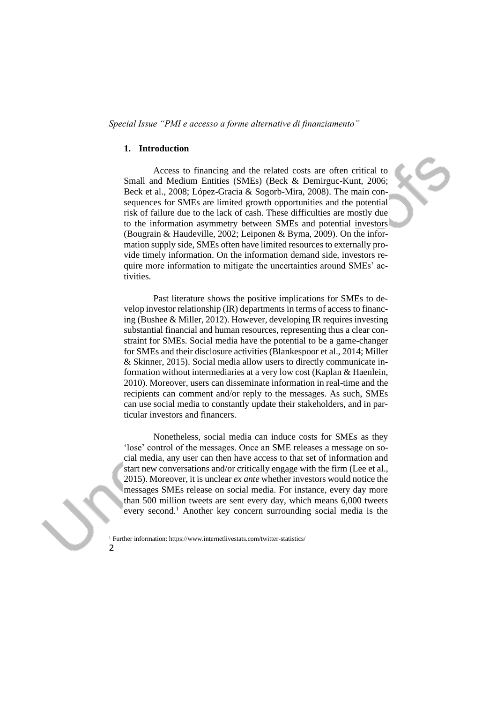### **1. Introduction**

Access to financing and the related costs are often critical to Small and Medium Entities (SMEs) (Beck & Demirguc-Kunt, 2006; Beck et al., 2008; López-Gracia & Sogorb-Mira, 2008). The main consequences for SMEs are limited growth opportunities and the potential risk of failure due to the lack of cash. These difficulties are mostly due to the information asymmetry between SMEs and potential investors (Bougrain & Haudeville, 2002; Leiponen & Byma, 2009). On the information supply side, SMEs often have limited resources to externally provide timely information. On the information demand side, investors require more information to mitigate the uncertainties around SMEs' activities.

Past literature shows the positive implications for SMEs to develop investor relationship (IR) departments in terms of access to financing (Bushee & Miller, 2012). However, developing IR requires investing substantial financial and human resources, representing thus a clear constraint for SMEs. Social media have the potential to be a game-changer for SMEs and their disclosure activities (Blankespoor et al., 2014; Miller & Skinner, 2015). Social media allow users to directly communicate information without intermediaries at a very low cost (Kaplan & Haenlein, 2010). Moreover, users can disseminate information in real-time and the recipients can comment and/or reply to the messages. As such, SMEs can use social media to constantly update their stakeholders, and in particular investors and financers.

Nonetheless, social media can induce costs for SMEs as they 'lose' control of the messages. Once an SME releases a message on social media, any user can then have access to that set of information and start new conversations and/or critically engage with the firm (Lee et al., 2015). Moreover, it is unclear *ex ante* whether investors would notice the messages SMEs release on social media. For instance, every day more than 500 million tweets are sent every day, which means 6,000 tweets every second.<sup>1</sup> Another key concern surrounding social media is the

<sup>&</sup>lt;sup>1</sup> Further information: https://www.internetlivestats.com/twitter-statistics/

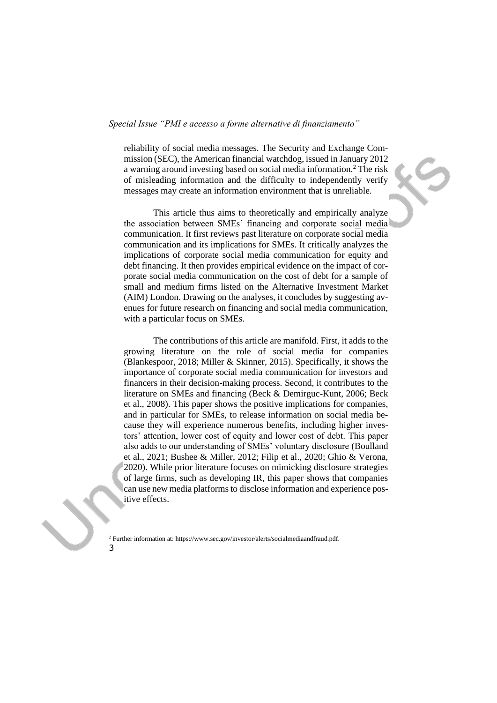reliability of social media messages. The Security and Exchange Commission (SEC), the American financial watchdog, issued in January 2012 a warning around investing based on social media information.<sup>2</sup> The risk of misleading information and the difficulty to independently verify messages may create an information environment that is unreliable.

This article thus aims to theoretically and empirically analyze the association between SMEs' financing and corporate social media communication. It first reviews past literature on corporate social media communication and its implications for SMEs. It critically analyzes the implications of corporate social media communication for equity and debt financing. It then provides empirical evidence on the impact of corporate social media communication on the cost of debt for a sample of small and medium firms listed on the Alternative Investment Market (AIM) London. Drawing on the analyses, it concludes by suggesting avenues for future research on financing and social media communication, with a particular focus on SMEs.

The contributions of this article are manifold. First, it adds to the growing literature on the role of social media for companies (Blankespoor, 2018; Miller & Skinner, 2015). Specifically, it shows the importance of corporate social media communication for investors and financers in their decision-making process. Second, it contributes to the literature on SMEs and financing (Beck & Demirguc-Kunt, 2006; Beck et al., 2008). This paper shows the positive implications for companies, and in particular for SMEs, to release information on social media because they will experience numerous benefits, including higher investors' attention, lower cost of equity and lower cost of debt. This paper also adds to our understanding of SMEs' voluntary disclosure (Boulland et al., 2021; Bushee & Miller, 2012; Filip et al., 2020; Ghio & Verona, 2020). While prior literature focuses on mimicking disclosure strategies of large firms, such as developing IR, this paper shows that companies can use new media platforms to disclose information and experience positive effects.

<sup>3</sup> <sup>2</sup> Further information at: https://www.sec.gov/investor/alerts/socialmediaandfraud.pdf.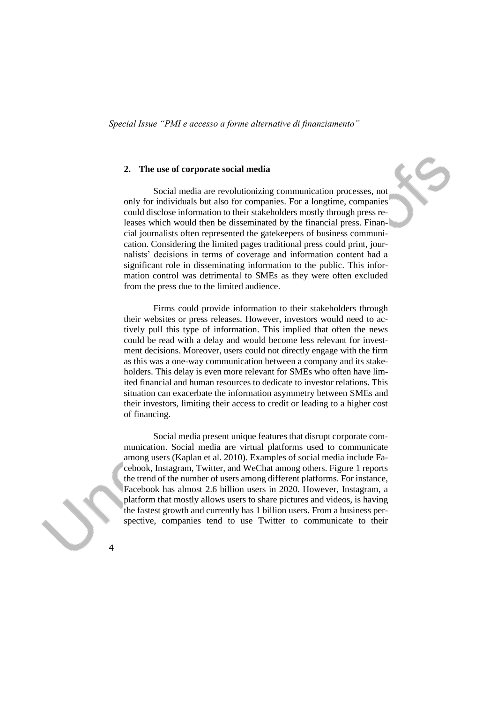### **2. The use of corporate social media**

Social media are revolutionizing communication processes, not only for individuals but also for companies. For a longtime, companies could disclose information to their stakeholders mostly through press releases which would then be disseminated by the financial press. Financial journalists often represented the gatekeepers of business communication. Considering the limited pages traditional press could print, journalists' decisions in terms of coverage and information content had a significant role in disseminating information to the public. This information control was detrimental to SMEs as they were often excluded from the press due to the limited audience.

Firms could provide information to their stakeholders through their websites or press releases. However, investors would need to actively pull this type of information. This implied that often the news could be read with a delay and would become less relevant for investment decisions. Moreover, users could not directly engage with the firm as this was a one-way communication between a company and its stakeholders. This delay is even more relevant for SMEs who often have limited financial and human resources to dedicate to investor relations. This situation can exacerbate the information asymmetry between SMEs and their investors, limiting their access to credit or leading to a higher cost of financing.

Social media present unique features that disrupt corporate communication. Social media are virtual platforms used to communicate among users (Kaplan et al. 2010). Examples of social media include Facebook, Instagram, Twitter, and WeChat among others. Figure 1 reports the trend of the number of users among different platforms. For instance, Facebook has almost 2.6 billion users in 2020. However, Instagram, a platform that mostly allows users to share pictures and videos, is having the fastest growth and currently has 1 billion users. From a business perspective, companies tend to use Twitter to communicate to their

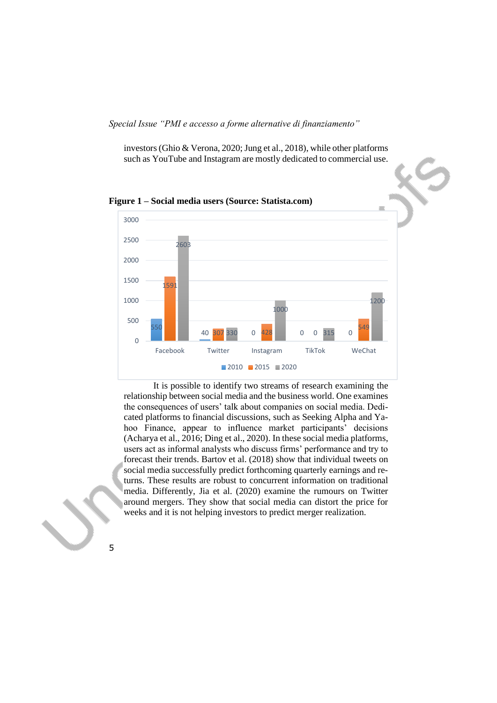investors (Ghio & Verona, 2020; Jung et al., 2018), while other platforms such as YouTube and Instagram are mostly dedicated to commercial use.



It is possible to identify two streams of research examining the relationship between social media and the business world. One examines the consequences of users' talk about companies on social media. Dedicated platforms to financial discussions, such as Seeking Alpha and Yahoo Finance, appear to influence market participants' decisions (Acharya et al., 2016; Ding et al., 2020). In these social media platforms, users act as informal analysts who discuss firms' performance and try to forecast their trends. Bartov et al. (2018) show that individual tweets on social media successfully predict forthcoming quarterly earnings and returns. These results are robust to concurrent information on traditional media. Differently, Jia et al. (2020) examine the rumours on Twitter around mergers. They show that social media can distort the price for weeks and it is not helping investors to predict merger realization.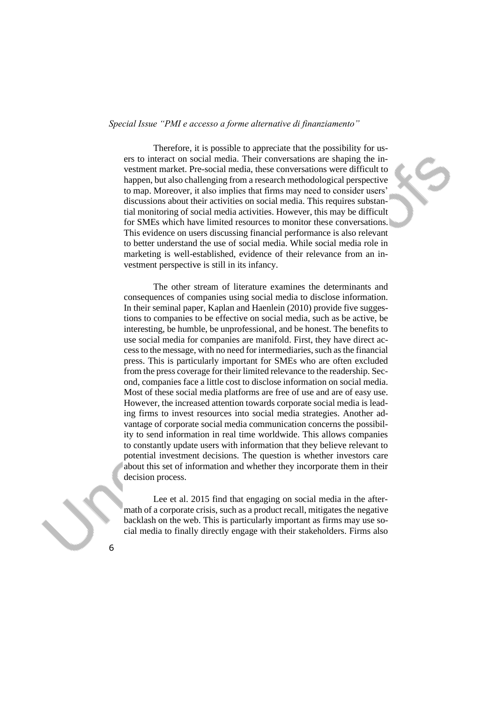Therefore, it is possible to appreciate that the possibility for users to interact on social media. Their conversations are shaping the investment market. Pre-social media, these conversations were difficult to happen, but also challenging from a research methodological perspective to map. Moreover, it also implies that firms may need to consider users' discussions about their activities on social media. This requires substantial monitoring of social media activities. However, this may be difficult for SMEs which have limited resources to monitor these conversations. This evidence on users discussing financial performance is also relevant to better understand the use of social media. While social media role in marketing is well-established, evidence of their relevance from an investment perspective is still in its infancy.

The other stream of literature examines the determinants and consequences of companies using social media to disclose information. In their seminal paper, Kaplan and Haenlein (2010) provide five suggestions to companies to be effective on social media, such as be active, be interesting, be humble, be unprofessional, and be honest. The benefits to use social media for companies are manifold. First, they have direct access to the message, with no need for intermediaries, such as the financial press. This is particularly important for SMEs who are often excluded from the press coverage for their limited relevance to the readership. Second, companies face a little cost to disclose information on social media. Most of these social media platforms are free of use and are of easy use. However, the increased attention towards corporate social media is leading firms to invest resources into social media strategies. Another advantage of corporate social media communication concerns the possibility to send information in real time worldwide. This allows companies to constantly update users with information that they believe relevant to potential investment decisions. The question is whether investors care about this set of information and whether they incorporate them in their decision process.

Lee et al. 2015 find that engaging on social media in the aftermath of a corporate crisis, such as a product recall, mitigates the negative backlash on the web. This is particularly important as firms may use social media to finally directly engage with their stakeholders. Firms also

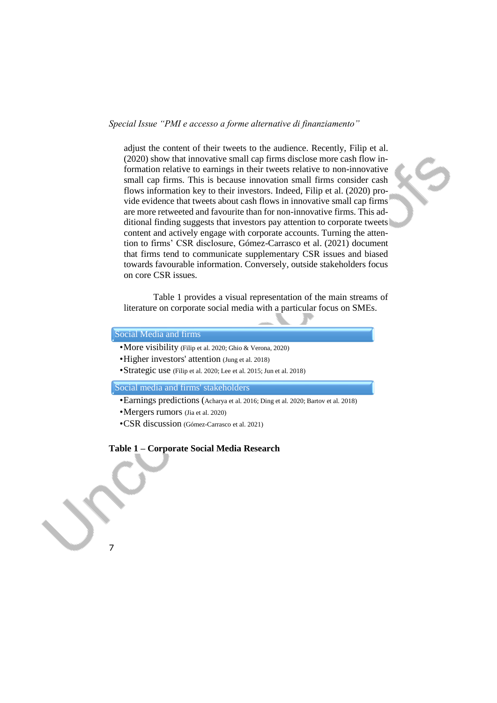adjust the content of their tweets to the audience. Recently, Filip et al. (2020) show that innovative small cap firms disclose more cash flow information relative to earnings in their tweets relative to non-innovative small cap firms. This is because innovation small firms consider cash flows information key to their investors. Indeed, Filip et al. (2020) provide evidence that tweets about cash flows in innovative small cap firms are more retweeted and favourite than for non-innovative firms. This additional finding suggests that investors pay attention to corporate tweets content and actively engage with corporate accounts. Turning the attention to firms' CSR disclosure, Gómez-Carrasco et al. (2021) document that firms tend to communicate supplementary CSR issues and biased towards favourable information. Conversely, outside stakeholders focus on core CSR issues.

Table 1 provides a visual representation of the main streams of literature on corporate social media with a particular focus on SMEs.

# Social Media and firms

7

- •More visibility (Filip et al. 2020; Ghio & Verona, 2020)
- •Higher investors' attention (Jung et al. 2018)
- •Strategic use (Filip et al. 2020; Lee et al. 2015; Jun et al. 2018)

Social media and firms' stakeholders

- •Earnings predictions (Acharya et al. 2016; Ding et al. 2020; Bartov et al. 2018)
- •Mergers rumors (Jia et al. 2020)
- •CSR discussion (Gómez-Carrasco et al. 2021)

#### **Table 1 – Corporate Social Media Research**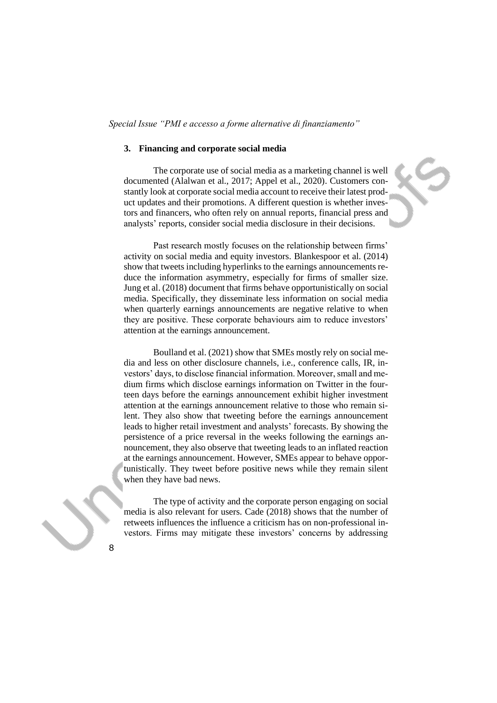#### **3. Financing and corporate social media**

The corporate use of social media as a marketing channel is well documented (Alalwan et al., 2017; Appel et al., 2020). Customers constantly look at corporate social media account to receive their latest product updates and their promotions. A different question is whether investors and financers, who often rely on annual reports, financial press and analysts' reports, consider social media disclosure in their decisions.

Past research mostly focuses on the relationship between firms' activity on social media and equity investors. Blankespoor et al. (2014) show that tweets including hyperlinks to the earnings announcements reduce the information asymmetry, especially for firms of smaller size. Jung et al. (2018) document that firms behave opportunistically on social media. Specifically, they disseminate less information on social media when quarterly earnings announcements are negative relative to when they are positive. These corporate behaviours aim to reduce investors' attention at the earnings announcement.

Boulland et al. (2021) show that SMEs mostly rely on social media and less on other disclosure channels, i.e., conference calls, IR, investors' days, to disclose financial information. Moreover, small and medium firms which disclose earnings information on Twitter in the fourteen days before the earnings announcement exhibit higher investment attention at the earnings announcement relative to those who remain silent. They also show that tweeting before the earnings announcement leads to higher retail investment and analysts' forecasts. By showing the persistence of a price reversal in the weeks following the earnings announcement, they also observe that tweeting leads to an inflated reaction at the earnings announcement. However, SMEs appear to behave opportunistically. They tweet before positive news while they remain silent when they have bad news.

The type of activity and the corporate person engaging on social media is also relevant for users. Cade (2018) shows that the number of retweets influences the influence a criticism has on non-professional investors. Firms may mitigate these investors' concerns by addressing

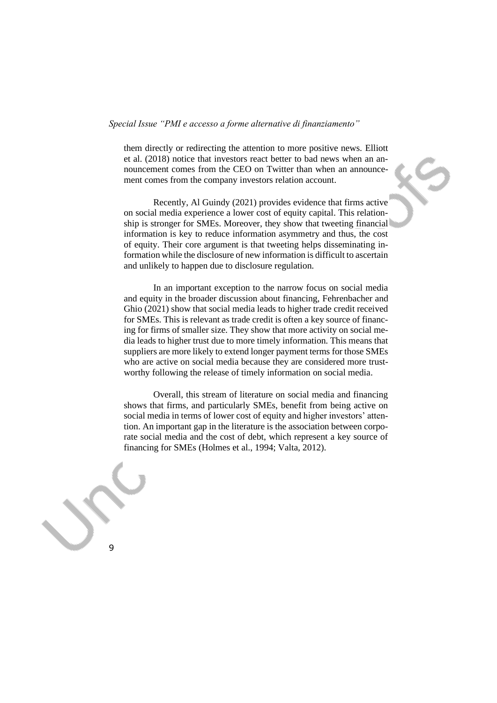them directly or redirecting the attention to more positive news. Elliott et al. (2018) notice that investors react better to bad news when an announcement comes from the CEO on Twitter than when an announcement comes from the company investors relation account.

Recently, Al Guindy (2021) provides evidence that firms active on social media experience a lower cost of equity capital. This relationship is stronger for SMEs. Moreover, they show that tweeting financial information is key to reduce information asymmetry and thus, the cost of equity. Their core argument is that tweeting helps disseminating information while the disclosure of new information is difficult to ascertain and unlikely to happen due to disclosure regulation.

In an important exception to the narrow focus on social media and equity in the broader discussion about financing, Fehrenbacher and Ghio (2021) show that social media leads to higher trade credit received for SMEs. This is relevant as trade credit is often a key source of financing for firms of smaller size. They show that more activity on social media leads to higher trust due to more timely information. This means that suppliers are more likely to extend longer payment terms for those SMEs who are active on social media because they are considered more trustworthy following the release of timely information on social media.

Overall, this stream of literature on social media and financing shows that firms, and particularly SMEs, benefit from being active on social media in terms of lower cost of equity and higher investors' attention. An important gap in the literature is the association between corporate social media and the cost of debt, which represent a key source of financing for SMEs (Holmes et al., 1994; Valta, 2012).

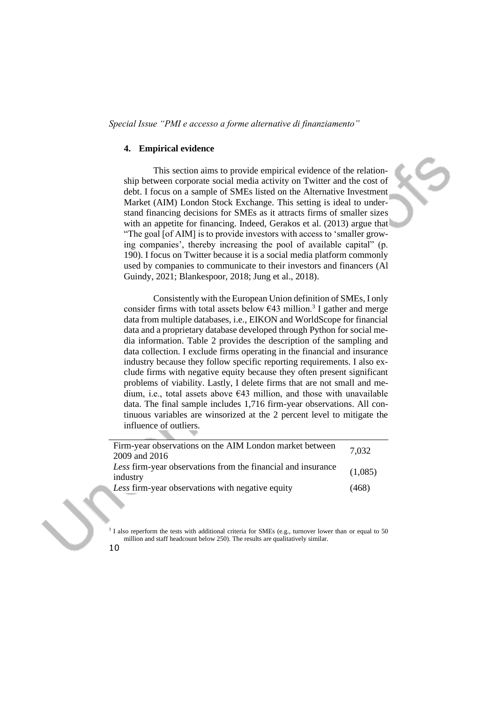### **4. Empirical evidence**

This section aims to provide empirical evidence of the relationship between corporate social media activity on Twitter and the cost of debt. I focus on a sample of SMEs listed on the Alternative Investment Market (AIM) London Stock Exchange. This setting is ideal to understand financing decisions for SMEs as it attracts firms of smaller sizes with an appetite for financing. Indeed, Gerakos et al. (2013) argue that "The goal [of AIM] is to provide investors with access to 'smaller growing companies', thereby increasing the pool of available capital" (p. 190). I focus on Twitter because it is a social media platform commonly used by companies to communicate to their investors and financers (Al Guindy, 2021; Blankespoor, 2018; Jung et al., 2018).

Consistently with the European Union definition of SMEs, I only consider firms with total assets below  $643$  million.<sup>3</sup> I gather and merge data from multiple databases, i.e., EIKON and WorldScope for financial data and a proprietary database developed through Python for social media information. Table 2 provides the description of the sampling and data collection. I exclude firms operating in the financial and insurance industry because they follow specific reporting requirements. I also exclude firms with negative equity because they often present significant problems of viability. Lastly, I delete firms that are not small and medium, i.e., total assets above  $643$  million, and those with unavailable data. The final sample includes 1,716 firm-year observations. All continuous variables are winsorized at the 2 percent level to mitigate the influence of outliers.

| Firm-year observations on the AIM London market between      | 7.032   |
|--------------------------------------------------------------|---------|
| 2009 and 2016                                                |         |
| Less firm-year observations from the financial and insurance | (1,085) |
| industry                                                     |         |
| Less firm-year observations with negative equity             | (468)   |

<sup>3</sup> I also reperform the tests with additional criteria for SMEs (e.g., turnover lower than or equal to 50 million and staff headcount below 250). The results are qualitatively similar.

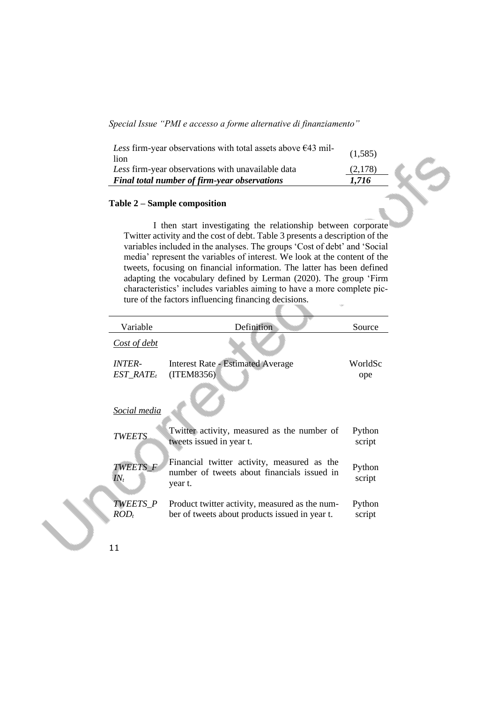| Less firm-year observations with total assets above $\epsilon$ 43 mil-<br>lion | (1,585) |  |
|--------------------------------------------------------------------------------|---------|--|
| Less firm-year observations with unavailable data                              | (2,178) |  |
| Final total number of firm-year observations                                   | 1.716   |  |
|                                                                                |         |  |

## **Table 2 – Sample composition**

I then start investigating the relationship between corporate Twitter activity and the cost of debt. Table 3 presents a description of the variables included in the analyses. The groups 'Cost of debt' and 'Social media' represent the variables of interest. We look at the content of the tweets, focusing on financial information. The latter has been defined adapting the vocabulary defined by Lerman (2020). The group 'Firm characteristics' includes variables aiming to have a more complete picture of the factors influencing financing decisions.

| Variable                              | Definition                                                                                            | Source           |
|---------------------------------------|-------------------------------------------------------------------------------------------------------|------------------|
| Cost of debt                          |                                                                                                       |                  |
| <i><b>INTER-</b></i><br>$EST\_RATE_t$ | <b>Interest Rate - Estimated Average</b><br>(ITEM8356)                                                | WorldSc<br>ope   |
| <u>Social media</u>                   |                                                                                                       |                  |
| <b>TWEETS</b>                         | Twitter activity, measured as the number of<br>tweets issued in year t.                               | Python<br>script |
| TWEETS F<br>$IN_t$                    | Financial twitter activity, measured as the<br>number of tweets about financials issued in<br>year t. | Python<br>script |
| <i>TWEETS P</i><br>$ROD_t$            | Product twitter activity, measured as the num-<br>ber of tweets about products issued in year t.      | Python<br>script |
|                                       |                                                                                                       |                  |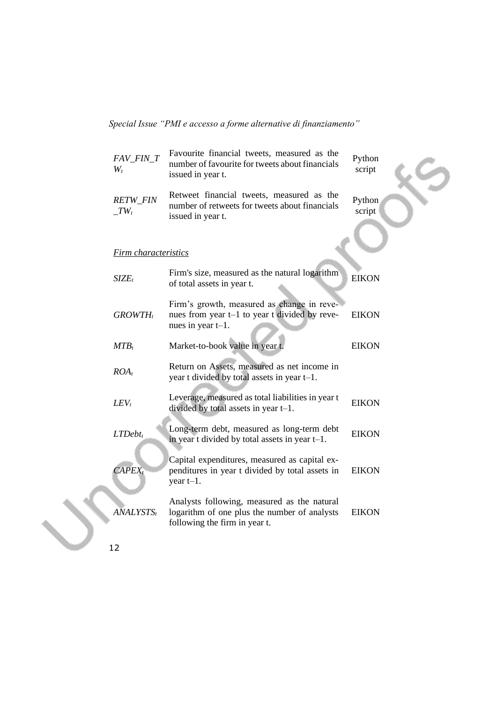| FAV_FIN_T<br>$W_t$        | Favourite financial tweets, measured as the<br>number of favourite for tweets about financials<br>issued in year t.          | Python<br>script |
|---------------------------|------------------------------------------------------------------------------------------------------------------------------|------------------|
| <b>RETW_FIN</b><br>$TV_t$ | Retweet financial tweets, measured as the<br>number of retweets for tweets about financials<br>issued in year t.             | Python<br>script |
| Firm characteristics      |                                                                                                                              |                  |
| $SIZE_t$                  | Firm's size, measured as the natural logarithm<br>of total assets in year t.                                                 | <b>EIKON</b>     |
| $GROWTH_t$                | Firm's growth, measured as change in reve-<br>nues from year t-1 to year t divided by reve-<br>nues in year $t-1$ .          | <b>EIKON</b>     |
| $MTB_t$                   | Market-to-book value in year t.                                                                                              | <b>EIKON</b>     |
| $ROA_t$                   | Return on Assets, measured as net income in<br>year t divided by total assets in year t-1.                                   |                  |
| $LEV_t$                   | Leverage, measured as total liabilities in year t<br>divided by total assets in year $t-1$ .                                 | <b>EIKON</b>     |
| $LTDebt_t$                | Long-term debt, measured as long-term debt<br>in year t divided by total assets in year $t-1$ .                              | <b>EIKON</b>     |
| $CAPEX_t$                 | Capital expenditures, measured as capital ex-<br>penditures in year t divided by total assets in<br>year $t-1$ .             | <b>EIKON</b>     |
| $\overline{ANALYSISTS_t}$ | Analysts following, measured as the natural<br>logarithm of one plus the number of analysts<br>following the firm in year t. | <b>EIKON</b>     |
|                           |                                                                                                                              |                  |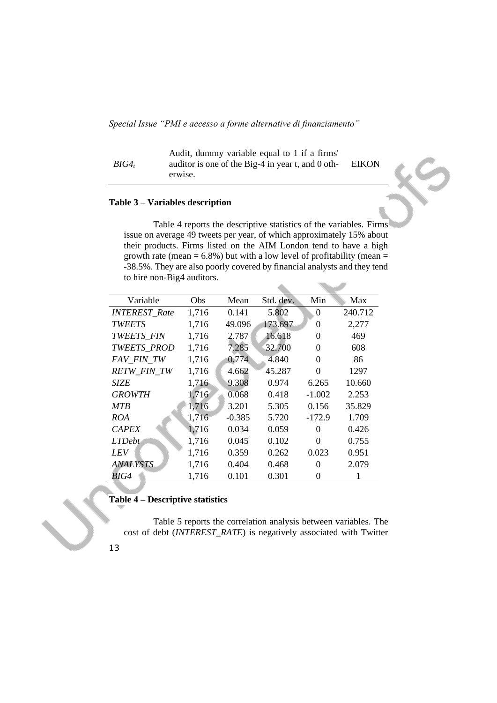*BIG4<sup>t</sup>* Audit, dummy variable equal to 1 if a firms' auditor is one of the Big-4 in year t, and 0 otherwise. EIKON

## **Table 3 – Variables description**

Table 4 reports the descriptive statistics of the variables. Firms issue on average 49 tweets per year, of which approximately 15% about their products. Firms listed on the AIM London tend to have a high growth rate (mean  $= 6.8\%$ ) but with a low level of profitability (mean  $=$ -38.5%. They are also poorly covered by financial analysts and they tend to hire non-Big4 auditors.

| Variable               | Obs   | Mean     | Std. dev. | Min      | Max     |
|------------------------|-------|----------|-----------|----------|---------|
| <b>INTEREST_Rate</b>   | 1,716 | 0.141    | 5.802     | 0        | 240.712 |
| <b>TWEETS</b>          | 1,716 | 49.096   | 173.697   | 0        | 2,277   |
| TWEETS_FIN             | 1,716 | 2.787    | 16.618    | $\Omega$ | 469     |
| TWEETS_PROD            | 1,716 | 7.285    | 32.700    | 0        | 608     |
| FAV FIN TW             | 1,716 | 0.774    | 4.840     | 0        | 86      |
| <b>RETW_FIN_TW</b>     | 1,716 | 4.662    | 45.287    | 0        | 1297    |
| <b>SIZE</b>            | 1,716 | 9.308    | 0.974     | 6.265    | 10.660  |
| <b>GROWTH</b>          | 1,716 | 0.068    | 0.418     | $-1.002$ | 2.253   |
| <b>MTR</b>             | 1,716 | 3.201    | 5.305     | 0.156    | 35.829  |
| ROA                    | 1,716 | $-0.385$ | 5.720     | $-172.9$ | 1.709   |
| <b>CAPEX</b>           | 1,716 | 0.034    | 0.059     | $\Omega$ | 0.426   |
| <b>LTDebt</b>          | 1,716 | 0.045    | 0.102     | 0        | 0.755   |
| LEV                    | 1,716 | 0.359    | 0.262     | 0.023    | 0.951   |
| <i><b>ANALYSTS</b></i> | 1,716 | 0.404    | 0.468     | 0        | 2.079   |
| BIG4                   | 1,716 | 0.101    | 0.301     | 0        |         |

## **Table 4 – Descriptive statistics**

Table 5 reports the correlation analysis between variables. The cost of debt (*INTEREST\_RATE*) is negatively associated with Twitter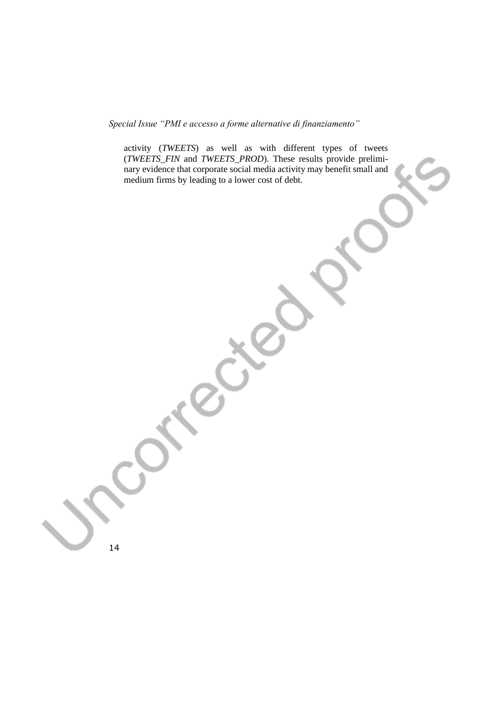activity (*TWEETS*) as well as with different types of tweets (*TWEETS\_FIN* and *TWEETS\_PROD*). These results provide preliminary evidence that corporate social media activity may benefit small and medium firms by leading to a lower cost of debt.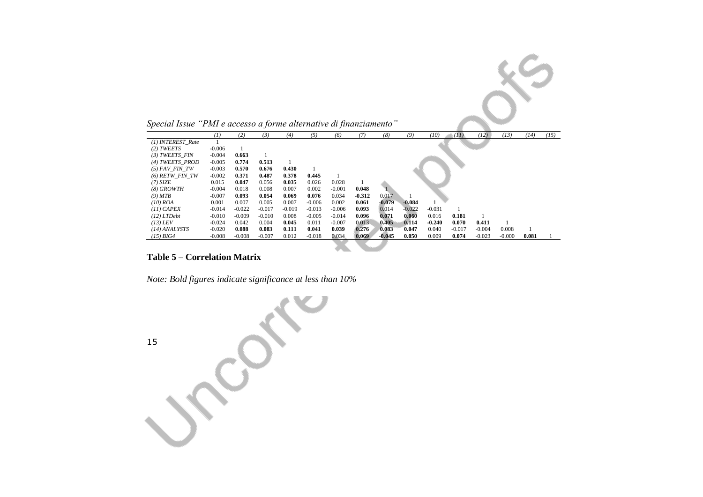*Special Issue "PMI e accesso a forme alternative di finanziamento"* 

|                   | $\left(1\right)$ | (2)      | (3)      | (4)      | (5)      | (6)      | (7)      | (8)      | (9)      | (10)     | (11)     | (12)     | (13)     | (14)  | (15) |
|-------------------|------------------|----------|----------|----------|----------|----------|----------|----------|----------|----------|----------|----------|----------|-------|------|
| (1) INTEREST Rate |                  |          |          |          |          |          |          |          |          |          |          |          |          |       |      |
| (2) TWEETS        | $-0.006$         |          |          |          |          |          |          |          |          |          |          |          |          |       |      |
| (3) TWEETS FIN    | $-0.004$         | 0.663    |          |          |          |          |          |          |          |          |          |          |          |       |      |
| (4) TWEETS PROD   | $-0.005$         | 0.774    | 0.513    |          |          |          |          |          |          |          |          |          |          |       |      |
| $(5)$ FAV FIN TW  | $-0.003$         | 0.570    | 0.676    | 0.430    |          |          |          |          |          |          |          |          |          |       |      |
| $(6)$ RETW FIN TW | $-0.002$         | 0.371    | 0.487    | 0.378    | 0.445    |          |          |          |          |          |          |          |          |       |      |
| $(7)$ SIZE        | 0.015            | 0.047    | 0.056    | 0.035    | 0.026    | 0.028    |          |          |          |          |          |          |          |       |      |
| $(8)$ GROWTH      | $-0.004$         | 0.018    | 0.008    | 0.007    | 0.002    | $-0.001$ | 0.048    |          |          |          |          |          |          |       |      |
| (9) MTB           | $-0.007$         | 0.093    | 0.054    | 0.069    | 0.076    | 0.034    | $-0.312$ | 0.017    |          |          |          |          |          |       |      |
| $(10)$ ROA        | 0.001            | 0.007    | 0.005    | 0.007    | $-0.006$ | 0.002    | 0.061    | $-0.079$ | $-0.084$ |          |          |          |          |       |      |
| $(11)$ CAPEX      | $-0.014$         | $-0.022$ | $-0.017$ | $-0.019$ | $-0.013$ | $-0.006$ | 0.093    | 0.014    | $-0.022$ | $-0.031$ |          |          |          |       |      |
| $(12)$ LTDebt     | $-0.010$         | $-0.009$ | $-0.010$ | 0.008    | $-0.005$ | $-0.014$ | 0.096    | 0.071    | 0.060    | 0.016    | 0.181    |          |          |       |      |
| $(13)$ LEV        | $-0.024$         | 0.042    | 0.004    | 0.045    | 0.011    | $-0.007$ | 0.013    | 0.405    | 0.114    | $-0.240$ | 0.070    | 0.411    |          |       |      |
| $(14)$ ANALYSTS   | $-0.020$         | 0.088    | 0.083    | 0.111    | 0.041    | 0.039    | 0.276    | 0.083    | 0.047    | 0.040    | $-0.017$ | $-0.004$ | 0.008    |       |      |
| $(15)$ BIG4       | $-0.008$         | $-0.008$ | $-0.007$ | 0.012    | $-0.018$ | 0.034    | 0.069    | $-0.045$ | 0.050    | 0.009    | 0.074    | $-0.023$ | $-0.000$ | 0.081 |      |

 $\delta^2$ 

# **Table 5 – Correlation Matrix**

*Note: Bold figures indicate significance at less than 10%*

15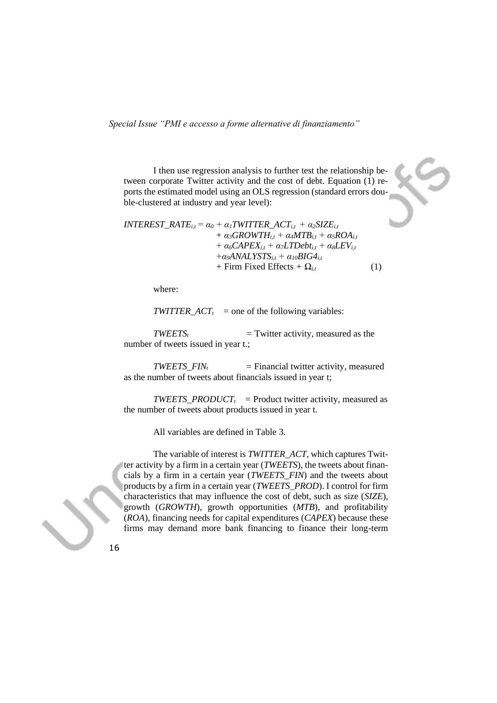I then use regression analysis to further test the relationship between corporate Twitter activity and the cost of debt. Equation (1) reports the estimated model using an OLS regression (standard errors double-clustered at industry and year level):

```
INTEREST_RATE<sub>i,t</sub> = \alpha_0 + \alpha_1TWITTER_ACT<sub>i,t</sub> + \alpha_2SIZE<sub>i,t</sub>
                                  + \alpha_3GROWTH<sub>i,t</sub> + \alpha_4 M T B<sub>i,t</sub> + \alpha_5 R O A<sub>i,t</sub>
                                  + \alpha_6 \text{CAPEX}_{i,t} + \alpha_7 \text{LTDebt}_{i,t} + \alpha_8 \text{LEV}_{i,t}+\alpha_9ANALYSTS<sub>i,t</sub> +\alpha_{10}BIG4<sub>i,t</sub>
                                  + Firm Fixed Effects + \Omega<sub>it</sub> (1)
```
where:

*TWITTER*  $ACT<sub>t</sub>$  *= one of the following variables:* 

 $TWEETS<sub>t</sub>$  = Twitter activity, measured as the number of tweets issued in year t.;

 $TWEETS_FIN_t$  = Financial twitter activity, measured as the number of tweets about financials issued in year t;

*TWEETS\_PRODUCTt =* Product twitter activity, measured as the number of tweets about products issued in year t.

All variables are defined in Table 3.

The variable of interest is *TWITTER\_ACT*, which captures Twitter activity by a firm in a certain year (*TWEETS*), the tweets about financials by a firm in a certain year (*TWEETS*\_*FIN*) and the tweets about products by a firm in a certain year (*TWEETS*\_*PROD*). I control for firm characteristics that may influence the cost of debt, such as size (*SIZE*), growth (*GROWTH*), growth opportunities (*MTB*), and profitability (*ROA*), financing needs for capital expenditures (*CAPEX*) because these firms may demand more bank financing to finance their long-term

16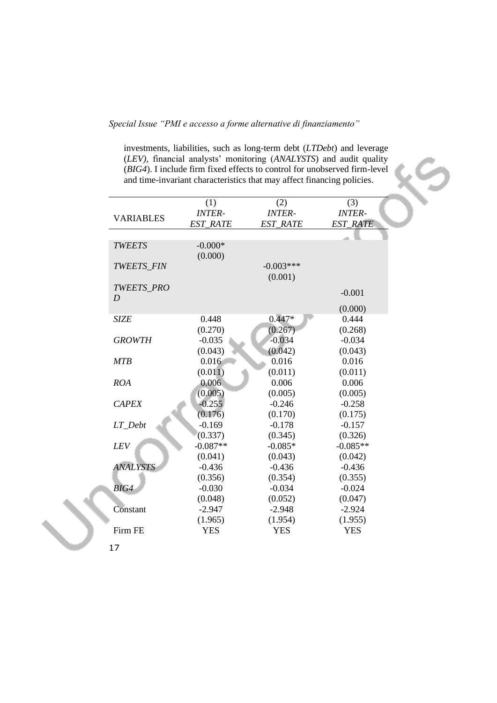investments, liabilities, such as long-term debt (*LTDebt*) and leverage (*LEV),* financial analysts' monitoring (*ANALYSTS*) and audit quality (*BIG4*). I include firm fixed effects to control for unobserved firm-level and time-invariant characteristics that may affect financing policies.

|                   | (1)             | (2)             | (3)             |
|-------------------|-----------------|-----------------|-----------------|
| <b>VARIABLES</b>  | <b>INTER-</b>   | <b>INTER-</b>   | <b>INTER-</b>   |
|                   | <b>EST RATE</b> | <b>EST RATE</b> | <b>EST_RATE</b> |
|                   |                 |                 |                 |
| <b>TWEETS</b>     | $-0.000*$       |                 |                 |
|                   | (0.000)         |                 |                 |
| <b>TWEETS FIN</b> |                 | $-0.003***$     |                 |
|                   |                 | (0.001)         |                 |
| TWEETS_PRO        |                 |                 | $-0.001$        |
| D                 |                 |                 |                 |
|                   |                 |                 | (0.000)         |
| <b>SIZE</b>       | 0.448           | $0.447*$        | 0.444           |
|                   | (0.270)         | (0.267)         | (0.268)         |
| <b>GROWTH</b>     | $-0.035$        | $-0.034$        | $-0.034$        |
|                   | (0.043)         | (0.042)         | (0.043)         |
| <b>MTB</b>        | 0.016           | 0.016           | 0.016           |
|                   | (0.011)         | (0.011)         | (0.011)         |
| ROA               | 0.006           | 0.006           | 0.006           |
|                   | (0.005)         | (0.005)         | (0.005)         |
| <b>CAPEX</b>      | $-0.255$        | $-0.246$        | $-0.258$        |
|                   | (0.176)         | (0.170)         | (0.175)         |
| LT Debt           | $-0.169$        | $-0.178$        | $-0.157$        |
|                   | (0.337)         | (0.345)         | (0.326)         |
| LEV               | $-0.087**$      | $-0.085*$       | $-0.085**$      |
|                   | (0.041)         | (0.043)         | (0.042)         |
| <b>ANALYSTS</b>   | $-0.436$        | $-0.436$        | $-0.436$        |
|                   | (0.356)         | (0.354)         | (0.355)         |
| BIG4              | $-0.030$        | $-0.034$        | $-0.024$        |
|                   | (0.048)         | (0.052)         | (0.047)         |
| Constant          | $-2.947$        | $-2.948$        | $-2.924$        |
|                   | (1.965)         | (1.954)         | (1.955)         |
| Firm FE           | <b>YES</b>      | <b>YES</b>      | <b>YES</b>      |

17

 $\mathcal{N}$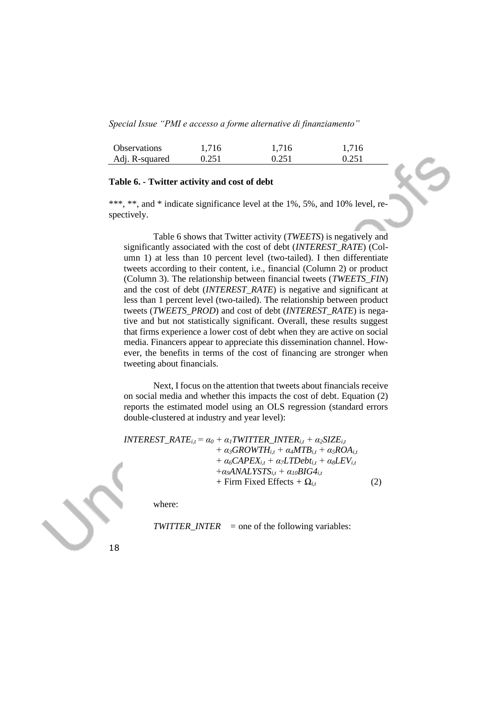| <b>Observations</b> | 1.716 | 1,716 | 1,716 |
|---------------------|-------|-------|-------|
| Adj. R-squared      | 0.251 | 0.251 | 0.251 |

## **Table 6. - Twitter activity and cost of debt**

\*\*\*, \*\*, and \* indicate significance level at the 1%, 5%, and 10% level, respectively.

Table 6 shows that Twitter activity (*TWEETS*) is negatively and significantly associated with the cost of debt (*INTEREST\_RATE*) (Column 1) at less than 10 percent level (two-tailed). I then differentiate tweets according to their content, i.e., financial (Column 2) or product (Column 3). The relationship between financial tweets (*TWEETS*\_*FIN*) and the cost of debt (*INTEREST*\_*RATE*) is negative and significant at less than 1 percent level (two-tailed). The relationship between product tweets (*TWEETS*\_*PROD*) and cost of debt (*INTEREST*\_*RATE*) is negative and but not statistically significant. Overall, these results suggest that firms experience a lower cost of debt when they are active on social media. Financers appear to appreciate this dissemination channel. However, the benefits in terms of the cost of financing are stronger when tweeting about financials.

Next, I focus on the attention that tweets about financials receive on social media and whether this impacts the cost of debt. Equation (2) reports the estimated model using an OLS regression (standard errors double-clustered at industry and year level):

 $INIEREST\_RATE$ <sub>*i,t*</sub> =  $\alpha_0 + \alpha_1 TWITTER\_INTER$ <sub>*i,t*</sub> +  $\alpha_2 SIZE$ *i,t*  $+ \alpha_3$ *GROWTH*<sub>*i*,t</sub></sub> $+ \alpha_4 M T B$ <sub>*i*,t</sub> $+ \alpha_5 R O A$ <sub>*i*,t</sub>  $+ \alpha_6 \text{CAPEX}_{i,t} + \alpha_7 \text{LTDebt}_{i,t} + \alpha_8 \text{LEV}_{i,t}$  $+\alpha_9$ *ANALYSTS*<sub>*i,t*</sub>  $+\alpha_{10}$ *BIG4*<sub>*i,t*</sub>  $+$  Firm Fixed Effects  $+$   $\Omega_{i,t}$  (2)

where:

*TWITTER\_INTER =* one of the following variables:

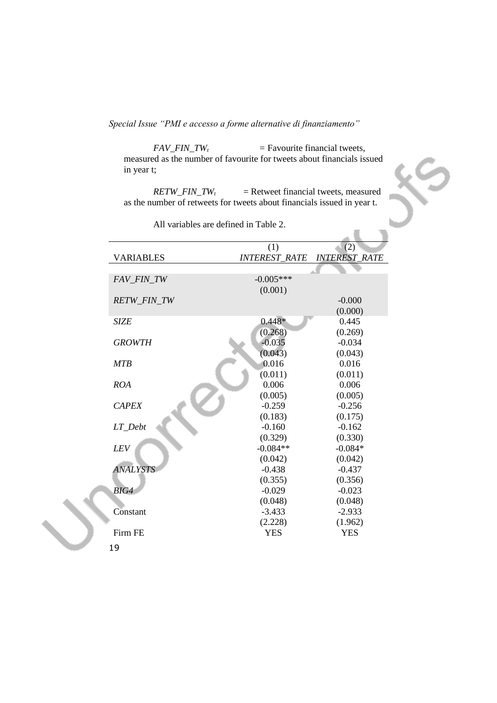$FAV\_FIN\_TW_t$  = Favourite financial tweets, measured as the number of favourite for tweets about financials issued in year t;

 $RETW\_FIN\_TW_t$  = Retweet financial tweets, measured as the number of retweets for tweets about financials issued in year t.

|                  | (1)                  | (2)                  |
|------------------|----------------------|----------------------|
| <b>VARIABLES</b> | <b>INTEREST RATE</b> | <b>INTEREST RATE</b> |
|                  |                      |                      |
| FAV FIN TW       | $-0.005***$          |                      |
|                  | (0.001)              |                      |
| RETW_FIN_TW      |                      | $-0.000$             |
|                  |                      | (0.000)              |
| <b>SIZE</b>      | $0.448*$             | 0.445                |
|                  | (0.268)              | (0.269)              |
| <b>GROWTH</b>    | $-0.035$             | $-0.034$             |
|                  | (0.043)              | (0.043)              |
| <b>MTB</b>       | 0.016                | 0.016                |
|                  | (0.011)              | (0.011)              |
| <b>ROA</b>       | 0.006                | 0.006                |
|                  | (0.005)              | (0.005)              |
| <b>CAPEX</b>     | $-0.259$             | $-0.256$             |
|                  | (0.183)              | (0.175)              |
| LT Debt          | $-0.160$             | $-0.162$             |
|                  | (0.329)              | (0.330)              |
| LEV              | $-0.084**$           | $-0.084*$            |
|                  | (0.042)              | (0.042)              |
| <b>ANALYSTS</b>  | $-0.438$             | $-0.437$             |
|                  | (0.355)              | (0.356)              |
| BIG4             | $-0.029$             | $-0.023$             |
|                  | (0.048)              | (0.048)              |
| Constant         | $-3.433$             | $-2.933$             |
|                  | (2.228)              | (1.962)              |
| Firm FE          | <b>YES</b>           | <b>YES</b>           |
| 1 O              |                      |                      |

All variables are defined in Table 2.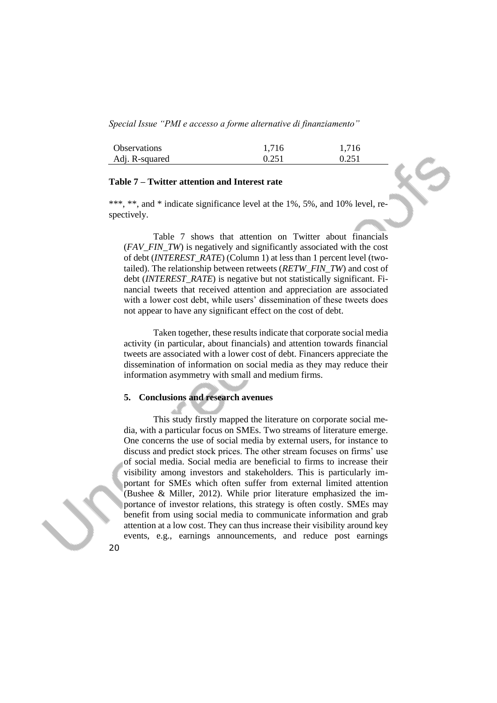| <b>Observations</b> | 1,716 | 1,716 |
|---------------------|-------|-------|
| Adj. R-squared      | 0.251 | 0.251 |

### **Table 7 – Twitter attention and Interest rate**

\*\*\*, \*\*, and \* indicate significance level at the 1%, 5%, and 10% level, respectively.

Table 7 shows that attention on Twitter about financials (*FAV\_FIN\_TW*) is negatively and significantly associated with the cost of debt (*INTEREST\_RATE*) (Column 1) at less than 1 percent level (twotailed). The relationship between retweets (*RETW\_FIN\_TW*) and cost of debt (*INTEREST*\_*RATE*) is negative but not statistically significant. Financial tweets that received attention and appreciation are associated with a lower cost debt, while users' dissemination of these tweets does not appear to have any significant effect on the cost of debt.

Taken together, these results indicate that corporate social media activity (in particular, about financials) and attention towards financial tweets are associated with a lower cost of debt. Financers appreciate the dissemination of information on social media as they may reduce their information asymmetry with small and medium firms.

## **5. Conclusions and research avenues**

This study firstly mapped the literature on corporate social media, with a particular focus on SMEs. Two streams of literature emerge. One concerns the use of social media by external users, for instance to discuss and predict stock prices. The other stream focuses on firms' use of social media. Social media are beneficial to firms to increase their visibility among investors and stakeholders. This is particularly important for SMEs which often suffer from external limited attention (Bushee & Miller, 2012). While prior literature emphasized the importance of investor relations, this strategy is often costly. SMEs may benefit from using social media to communicate information and grab attention at a low cost. They can thus increase their visibility around key events, e.g., earnings announcements, and reduce post earnings

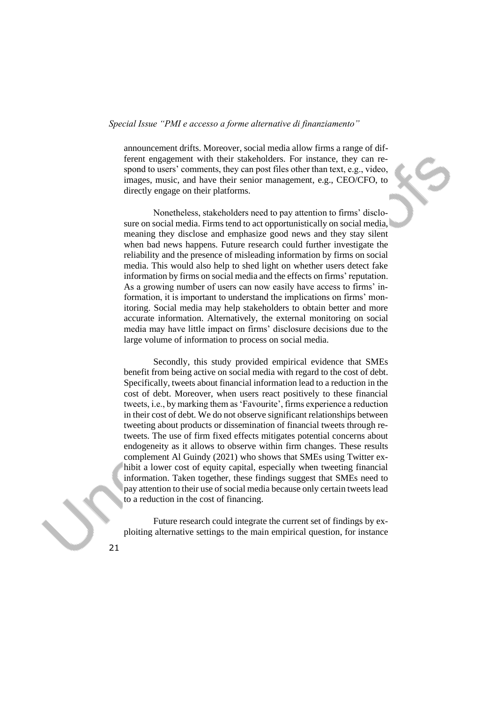announcement drifts. Moreover, social media allow firms a range of different engagement with their stakeholders. For instance, they can respond to users' comments, they can post files other than text, e.g., video, images, music, and have their senior management, e.g., CEO/CFO, to directly engage on their platforms.

Nonetheless, stakeholders need to pay attention to firms' disclosure on social media. Firms tend to act opportunistically on social media, meaning they disclose and emphasize good news and they stay silent when bad news happens. Future research could further investigate the reliability and the presence of misleading information by firms on social media. This would also help to shed light on whether users detect fake information by firms on social media and the effects on firms' reputation. As a growing number of users can now easily have access to firms' information, it is important to understand the implications on firms' monitoring. Social media may help stakeholders to obtain better and more accurate information. Alternatively, the external monitoring on social media may have little impact on firms' disclosure decisions due to the large volume of information to process on social media.

Secondly, this study provided empirical evidence that SMEs benefit from being active on social media with regard to the cost of debt. Specifically, tweets about financial information lead to a reduction in the cost of debt. Moreover, when users react positively to these financial tweets, i.e., by marking them as 'Favourite', firms experience a reduction in their cost of debt. We do not observe significant relationships between tweeting about products or dissemination of financial tweets through retweets. The use of firm fixed effects mitigates potential concerns about endogeneity as it allows to observe within firm changes. These results complement Al Guindy (2021) who shows that SMEs using Twitter exhibit a lower cost of equity capital, especially when tweeting financial information. Taken together, these findings suggest that SMEs need to pay attention to their use of social media because only certain tweets lead to a reduction in the cost of financing.

Future research could integrate the current set of findings by exploiting alternative settings to the main empirical question, for instance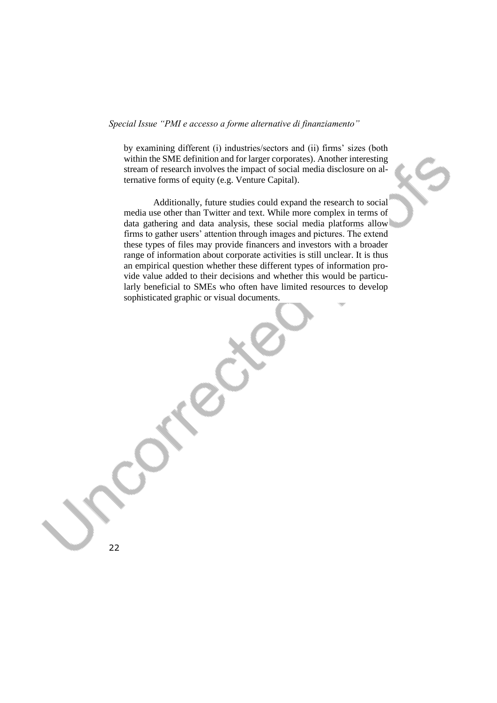by examining different (i) industries/sectors and (ii) firms' sizes (both within the SME definition and for larger corporates). Another interesting stream of research involves the impact of social media disclosure on alternative forms of equity (e.g. Venture Capital).

Additionally, future studies could expand the research to social media use other than Twitter and text. While more complex in terms of data gathering and data analysis, these social media platforms allow firms to gather users' attention through images and pictures. The extend these types of files may provide financers and investors with a broader range of information about corporate activities is still unclear. It is thus an empirical question whether these different types of information provide value added to their decisions and whether this would be particularly beneficial to SMEs who often have limited resources to develop sophisticated graphic or visual documents.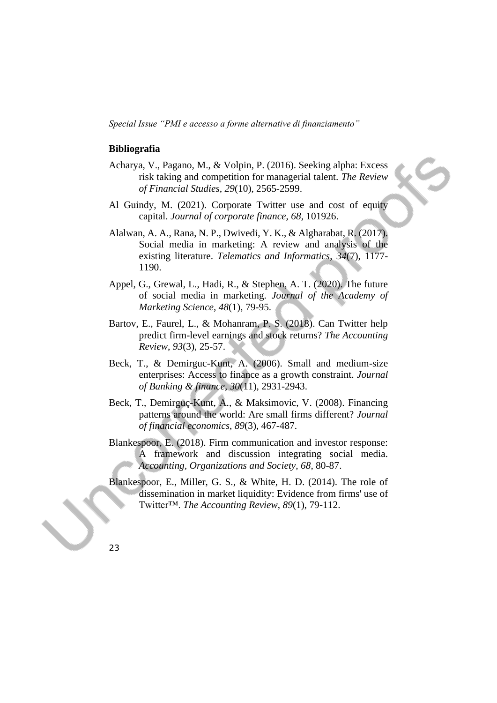#### **Bibliografia**

- Acharya, V., Pagano, M., & Volpin, P. (2016). Seeking alpha: Excess risk taking and competition for managerial talent. *The Review of Financial Studies*, *29*(10), 2565-2599.
- Al Guindy, M. (2021). Corporate Twitter use and cost of equity capital. *Journal of corporate finance*, *68*, 101926.
- Alalwan, A. A., Rana, N. P., Dwivedi, Y. K., & Algharabat, R. (2017). Social media in marketing: A review and analysis of the existing literature. *Telematics and Informatics*, *34*(7), 1177- 1190.
- Appel, G., Grewal, L., Hadi, R., & Stephen, A. T. (2020). The future of social media in marketing. *Journal of the Academy of Marketing Science*, *48*(1), 79-95.
- Bartov, E., Faurel, L., & Mohanram, P. S. (2018). Can Twitter help predict firm-level earnings and stock returns? *The Accounting Review*, *93*(3), 25-57.
- Beck, T., & Demirguc-Kunt, A. (2006). Small and medium-size enterprises: Access to finance as a growth constraint. *Journal of Banking & finance*, *30*(11), 2931-2943.
- Beck, T., Demirgüç-Kunt, A., & Maksimovic, V. (2008). Financing patterns around the world: Are small firms different? *Journal of financial economics*, *89*(3), 467-487.
- Blankespoor, E. (2018). Firm communication and investor response: A framework and discussion integrating social media. *Accounting, Organizations and Society*, *68*, 80-87.
- Blankespoor, E., Miller, G. S., & White, H. D. (2014). The role of dissemination in market liquidity: Evidence from firms' use of Twitter™. *The Accounting Review*, *89*(1), 79-112.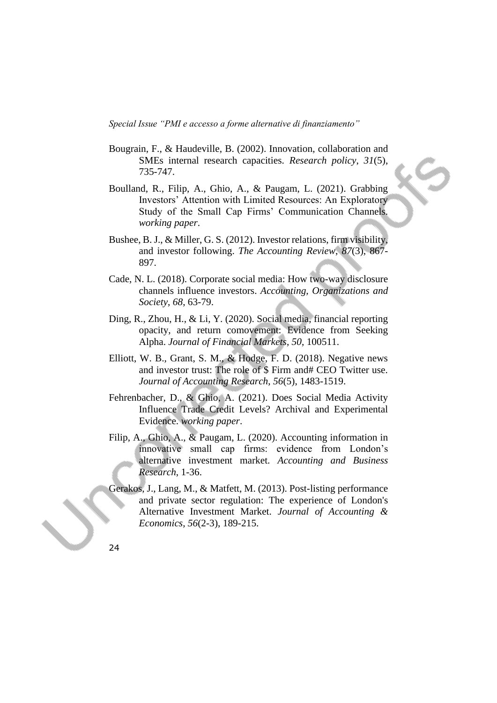- Bougrain, F., & Haudeville, B. (2002). Innovation, collaboration and SMEs internal research capacities. *Research policy*, *31*(5), 735-747.
- Boulland, R., Filip, A., Ghio, A., & Paugam, L. (2021). Grabbing Investors' Attention with Limited Resources: An Exploratory Study of the Small Cap Firms' Communication Channels. *working paper*.
- Bushee, B. J., & Miller, G. S. (2012). Investor relations, firm visibility, and investor following. *The Accounting Review*, *87*(3), 867- 897.
- Cade, N. L. (2018). Corporate social media: How two-way disclosure channels influence investors. *Accounting, Organizations and Society*, *68*, 63-79.
- Ding, R., Zhou, H., & Li, Y. (2020). Social media, financial reporting opacity, and return comovement: Evidence from Seeking Alpha. *Journal of Financial Markets*, *50*, 100511.
- Elliott, W. B., Grant, S. M., & Hodge, F. D. (2018). Negative news and investor trust: The role of \$ Firm and# CEO Twitter use. *Journal of Accounting Research*, *56*(5), 1483-1519.
- Fehrenbacher, D., & Ghio, A. (2021). Does Social Media Activity Influence Trade Credit Levels? Archival and Experimental Evidence. *working paper*.
- Filip, A., Ghio, A., & Paugam, L. (2020). Accounting information in innovative small cap firms: evidence from London's alternative investment market. *Accounting and Business Research*, 1-36.
- Gerakos, J., Lang, M., & Matfett, M. (2013). Post-listing performance and private sector regulation: The experience of London's Alternative Investment Market. *Journal of Accounting & Economics*, *56*(2-3), 189-215.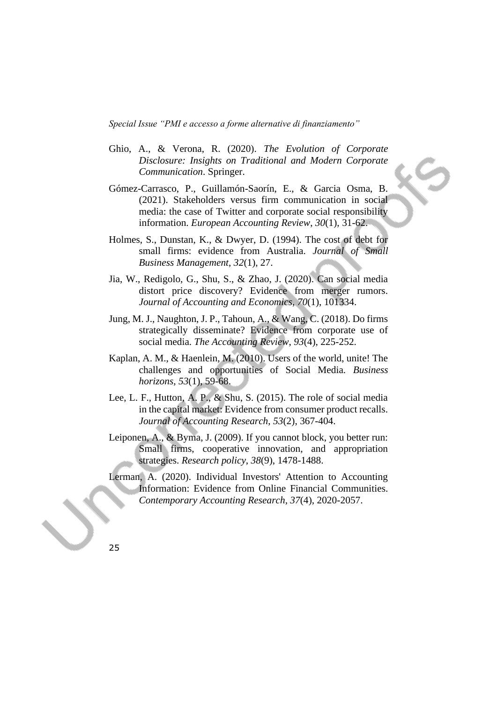- Ghio, A., & Verona, R. (2020). *The Evolution of Corporate Disclosure: Insights on Traditional and Modern Corporate Communication*. Springer.
- Gómez-Carrasco, P., Guillamón-Saorín, E., & Garcia Osma, B. (2021). Stakeholders versus firm communication in social media: the case of Twitter and corporate social responsibility information. *European Accounting Review*, *30*(1), 31-62.
- Holmes, S., Dunstan, K., & Dwyer, D. (1994). The cost of debt for small firms: evidence from Australia. *Journal of Small Business Management*, *32*(1), 27.
- Jia, W., Redigolo, G., Shu, S., & Zhao, J. (2020). Can social media distort price discovery? Evidence from merger rumors. *Journal of Accounting and Economics*, *70*(1), 101334.
- Jung, M. J., Naughton, J. P., Tahoun, A., & Wang, C. (2018). Do firms strategically disseminate? Evidence from corporate use of social media. *The Accounting Review*, *93*(4), 225-252.
- Kaplan, A. M., & Haenlein, M. (2010). Users of the world, unite! The challenges and opportunities of Social Media. *Business horizons*, *53*(1), 59-68.
- Lee, L. F., Hutton, A. P., & Shu, S. (2015). The role of social media in the capital market: Evidence from consumer product recalls. *Journal of Accounting Research*, *53*(2), 367-404.
- Leiponen, A., & Byma, J. (2009). If you cannot block, you better run: Small firms, cooperative innovation, and appropriation strategies. *Research policy*, *38*(9), 1478-1488.
- Lerman, A. (2020). Individual Investors' Attention to Accounting Information: Evidence from Online Financial Communities. *Contemporary Accounting Research*, *37*(4), 2020-2057.